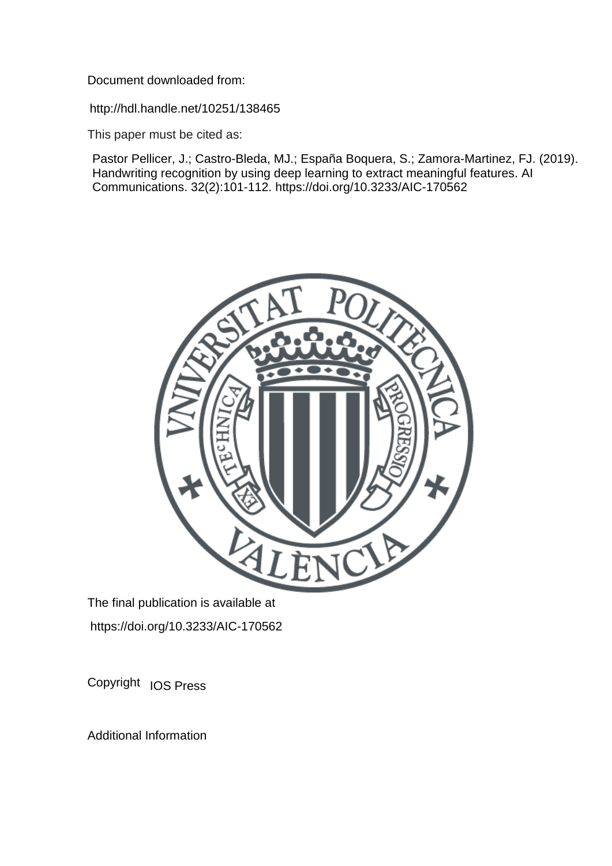Document downloaded from:

http://hdl.handle.net/10251/138465

This paper must be cited as:

Pastor Pellicer, J.; Castro-Bleda, MJ.; España Boquera, S.; Zamora-Martinez, FJ. (2019). Handwriting recognition by using deep learning to extract meaningful features. AI Communications. 32(2):101-112. https://doi.org/10.3233/AIC-170562



The final publication is available at https://doi.org/10.3233/AIC-170562

Copyright IOS Press

Additional Information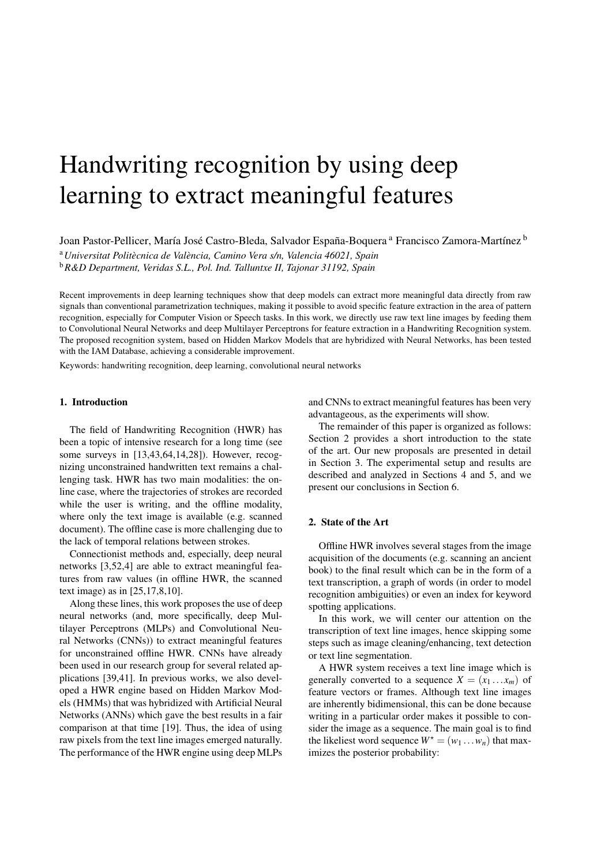# Handwriting recognition by using deep learning to extract meaningful features

Joan Pastor-Pellicer, María José Castro-Bleda, Salvador España-Boquera <sup>a</sup> Francisco Zamora-Martínez <sup>b</sup>

<sup>a</sup>*Universitat Politecnica de Val ` encia, Camino Vera s/n, Valencia 46021, Spain `*

<sup>b</sup>*R&D Department, Veridas S.L., Pol. Ind. Talluntxe II, Tajonar 31192, Spain*

Recent improvements in deep learning techniques show that deep models can extract more meaningful data directly from raw signals than conventional parametrization techniques, making it possible to avoid specific feature extraction in the area of pattern recognition, especially for Computer Vision or Speech tasks. In this work, we directly use raw text line images by feeding them to Convolutional Neural Networks and deep Multilayer Perceptrons for feature extraction in a Handwriting Recognition system. The proposed recognition system, based on Hidden Markov Models that are hybridized with Neural Networks, has been tested with the IAM Database, achieving a considerable improvement.

Keywords: handwriting recognition, deep learning, convolutional neural networks

# 1. Introduction

The field of Handwriting Recognition (HWR) has been a topic of intensive research for a long time (see some surveys in [13,43,64,14,28]). However, recognizing unconstrained handwritten text remains a challenging task. HWR has two main modalities: the online case, where the trajectories of strokes are recorded while the user is writing, and the offline modality, where only the text image is available (e.g. scanned document). The offline case is more challenging due to the lack of temporal relations between strokes.

Connectionist methods and, especially, deep neural networks [3,52,4] are able to extract meaningful features from raw values (in offline HWR, the scanned text image) as in [25,17,8,10].

Along these lines, this work proposes the use of deep neural networks (and, more specifically, deep Multilayer Perceptrons (MLPs) and Convolutional Neural Networks (CNNs)) to extract meaningful features for unconstrained offline HWR. CNNs have already been used in our research group for several related applications [39,41]. In previous works, we also developed a HWR engine based on Hidden Markov Models (HMMs) that was hybridized with Artificial Neural Networks (ANNs) which gave the best results in a fair comparison at that time [19]. Thus, the idea of using raw pixels from the text line images emerged naturally. The performance of the HWR engine using deep MLPs and CNNs to extract meaningful features has been very advantageous, as the experiments will show.

The remainder of this paper is organized as follows: Section 2 provides a short introduction to the state of the art. Our new proposals are presented in detail in Section 3. The experimental setup and results are described and analyzed in Sections 4 and 5, and we present our conclusions in Section 6.

# 2. State of the Art

Offline HWR involves several stages from the image acquisition of the documents (e.g. scanning an ancient book) to the final result which can be in the form of a text transcription, a graph of words (in order to model recognition ambiguities) or even an index for keyword spotting applications.

In this work, we will center our attention on the transcription of text line images, hence skipping some steps such as image cleaning/enhancing, text detection or text line segmentation.

A HWR system receives a text line image which is generally converted to a sequence  $X = (x_1 \dots x_m)$  of feature vectors or frames. Although text line images are inherently bidimensional, this can be done because writing in a particular order makes it possible to consider the image as a sequence. The main goal is to find the likeliest word sequence  $W^* = (w_1 \dots w_n)$  that maximizes the posterior probability: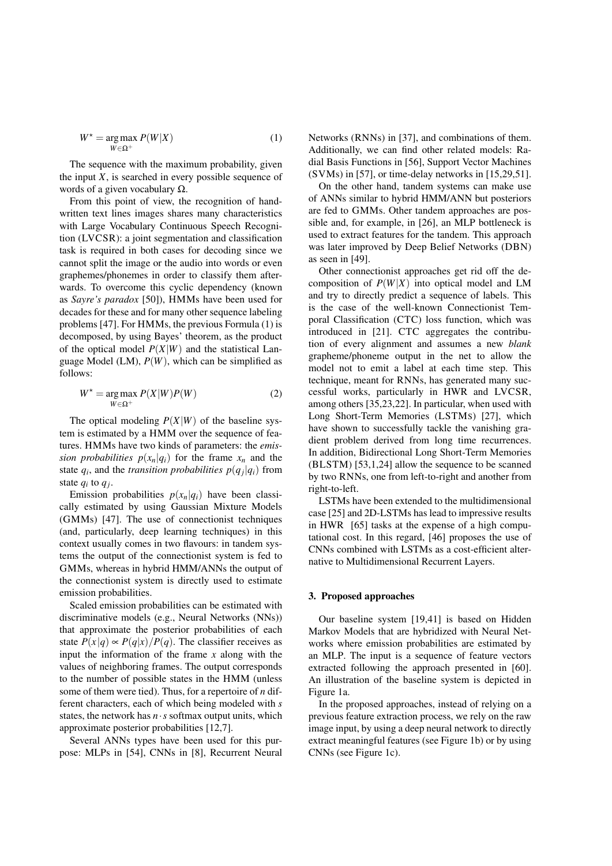$$
W^* = \underset{W \in \Omega^+}{\arg \max} P(W|X) \tag{1}
$$

The sequence with the maximum probability, given the input  $X$ , is searched in every possible sequence of words of a given vocabulary  $\Omega$ .

From this point of view, the recognition of handwritten text lines images shares many characteristics with Large Vocabulary Continuous Speech Recognition (LVCSR): a joint segmentation and classification task is required in both cases for decoding since we cannot split the image or the audio into words or even graphemes/phonemes in order to classify them afterwards. To overcome this cyclic dependency (known as *Sayre's paradox* [50]), HMMs have been used for decades for these and for many other sequence labeling problems [47]. For HMMs, the previous Formula (1) is decomposed, by using Bayes' theorem, as the product of the optical model  $P(X|W)$  and the statistical Language Model (LM),  $P(W)$ , which can be simplified as follows:

$$
W^* = \underset{W \in \Omega^+}{\arg \max} P(X|W)P(W) \tag{2}
$$

The optical modeling  $P(X|W)$  of the baseline system is estimated by a HMM over the sequence of features. HMMs have two kinds of parameters: the *emission probabilities*  $p(x_n|q_i)$  for the frame  $x_n$  and the state  $q_i$ , and the *transition probabilities*  $p(q_j|q_i)$  from state  $q_i$  to  $q_j$ .

Emission probabilities  $p(x_n|q_i)$  have been classically estimated by using Gaussian Mixture Models (GMMs) [47]. The use of connectionist techniques (and, particularly, deep learning techniques) in this context usually comes in two flavours: in tandem systems the output of the connectionist system is fed to GMMs, whereas in hybrid HMM/ANNs the output of the connectionist system is directly used to estimate emission probabilities.

Scaled emission probabilities can be estimated with discriminative models (e.g., Neural Networks (NNs)) that approximate the posterior probabilities of each state  $P(x|q) \propto P(q|x)/P(q)$ . The classifier receives as input the information of the frame *x* along with the values of neighboring frames. The output corresponds to the number of possible states in the HMM (unless some of them were tied). Thus, for a repertoire of *n* different characters, each of which being modeled with *s* states, the network has  $n \cdot s$  softmax output units, which approximate posterior probabilities [12,7].

Several ANNs types have been used for this purpose: MLPs in [54], CNNs in [8], Recurrent Neural Networks (RNNs) in [37], and combinations of them. Additionally, we can find other related models: Radial Basis Functions in [56], Support Vector Machines (SVMs) in [57], or time-delay networks in [15,29,51].

On the other hand, tandem systems can make use of ANNs similar to hybrid HMM/ANN but posteriors are fed to GMMs. Other tandem approaches are possible and, for example, in [26], an MLP bottleneck is used to extract features for the tandem. This approach was later improved by Deep Belief Networks (DBN) as seen in [49].

Other connectionist approaches get rid off the decomposition of *P*(*W*|*X*) into optical model and LM and try to directly predict a sequence of labels. This is the case of the well-known Connectionist Temporal Classification (CTC) loss function, which was introduced in [21]. CTC aggregates the contribution of every alignment and assumes a new *blank* grapheme/phoneme output in the net to allow the model not to emit a label at each time step. This technique, meant for RNNs, has generated many successful works, particularly in HWR and LVCSR, among others [35,23,22]. In particular, when used with Long Short-Term Memories (LSTMS) [27], which have shown to successfully tackle the vanishing gradient problem derived from long time recurrences. In addition, Bidirectional Long Short-Term Memories (BLSTM) [53,1,24] allow the sequence to be scanned by two RNNs, one from left-to-right and another from right-to-left.

LSTMs have been extended to the multidimensional case [25] and 2D-LSTMs has lead to impressive results in HWR [65] tasks at the expense of a high computational cost. In this regard, [46] proposes the use of CNNs combined with LSTMs as a cost-efficient alternative to Multidimensional Recurrent Layers.

#### 3. Proposed approaches

Our baseline system [19,41] is based on Hidden Markov Models that are hybridized with Neural Networks where emission probabilities are estimated by an MLP. The input is a sequence of feature vectors extracted following the approach presented in [60]. An illustration of the baseline system is depicted in Figure 1a.

In the proposed approaches, instead of relying on a previous feature extraction process, we rely on the raw image input, by using a deep neural network to directly extract meaningful features (see Figure 1b) or by using CNNs (see Figure 1c).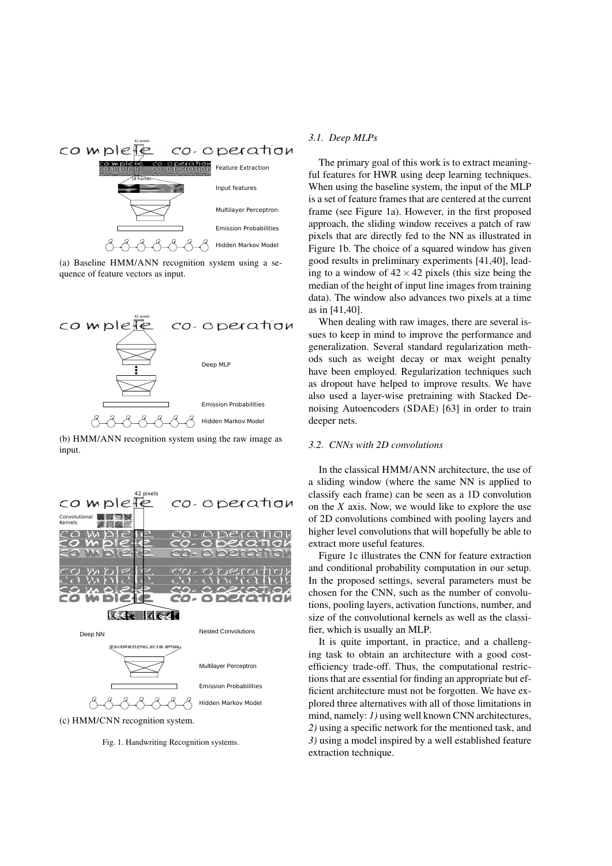

(a) Baseline HMM/ANN recognition system using a sequence of feature vectors as input.



(b) HMM/ANN recognition system using the raw image as input.



(c) HMM/CNN recognition system.

Fig. 1. Handwriting Recognition systems.

#### *3.1. Deep MLPs*

The primary goal of this work is to extract meaningful features for HWR using deep learning techniques. When using the baseline system, the input of the MLP is a set of feature frames that are centered at the current frame (see Figure 1a). However, in the first proposed approach, the sliding window receives a patch of raw pixels that are directly fed to the NN as illustrated in Figure 1b. The choice of a squared window has given good results in preliminary experiments [41,40], leading to a window of  $42 \times 42$  pixels (this size being the median of the height of input line images from training data). The window also advances two pixels at a time as in [41,40].

When dealing with raw images, there are several issues to keep in mind to improve the performance and generalization. Several standard regularization methods such as weight decay or max weight penalty have been employed. Regularization techniques such as dropout have helped to improve results. We have also used a layer-wise pretraining with Stacked Denoising Autoencoders (SDAE) [63] in order to train deeper nets.

## *3.2. CNNs with 2D convolutions*

In the classical HMM/ANN architecture, the use of a sliding window (where the same NN is applied to classify each frame) can be seen as a 1D convolution on the *X* axis. Now, we would like to explore the use of 2D convolutions combined with pooling layers and higher level convolutions that will hopefully be able to extract more useful features.

Figure 1c illustrates the CNN for feature extraction and conditional probability computation in our setup. In the proposed settings, several parameters must be chosen for the CNN, such as the number of convolutions, pooling layers, activation functions, number, and size of the convolutional kernels as well as the classifier, which is usually an MLP.

It is quite important, in practice, and a challenging task to obtain an architecture with a good costefficiency trade-off. Thus, the computational restrictions that are essential for finding an appropriate but efficient architecture must not be forgotten. We have explored three alternatives with all of those limitations in mind, namely: *1*) using well known CNN architectures, *2)* using a specific network for the mentioned task, and *3)* using a model inspired by a well established feature extraction technique.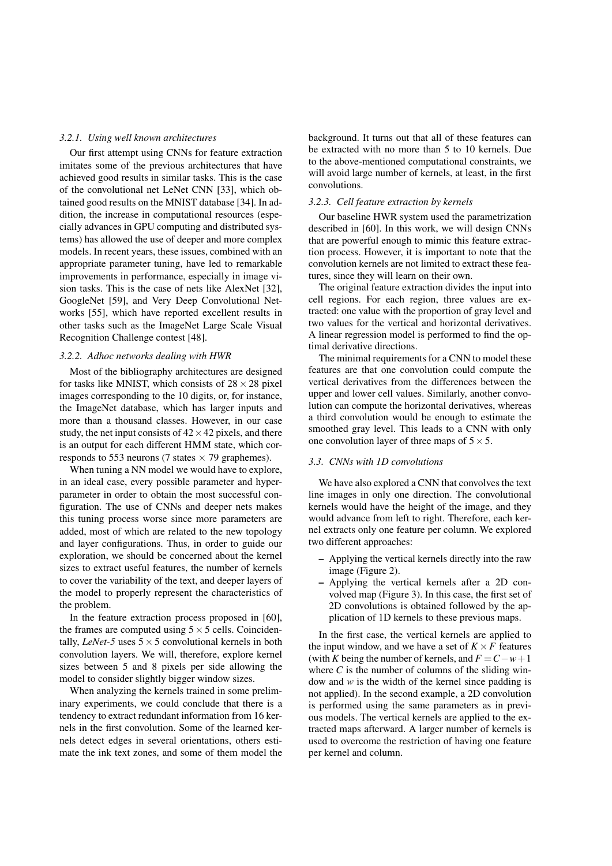#### *3.2.1. Using well known architectures*

Our first attempt using CNNs for feature extraction imitates some of the previous architectures that have achieved good results in similar tasks. This is the case of the convolutional net LeNet CNN [33], which obtained good results on the MNIST database [34]. In addition, the increase in computational resources (especially advances in GPU computing and distributed systems) has allowed the use of deeper and more complex models. In recent years, these issues, combined with an appropriate parameter tuning, have led to remarkable improvements in performance, especially in image vision tasks. This is the case of nets like AlexNet [32], GoogleNet [59], and Very Deep Convolutional Networks [55], which have reported excellent results in other tasks such as the ImageNet Large Scale Visual Recognition Challenge contest [48].

#### *3.2.2. Adhoc networks dealing with HWR*

Most of the bibliography architectures are designed for tasks like MNIST, which consists of  $28 \times 28$  pixel images corresponding to the 10 digits, or, for instance, the ImageNet database, which has larger inputs and more than a thousand classes. However, in our case study, the net input consists of  $42 \times 42$  pixels, and there is an output for each different HMM state, which corresponds to 553 neurons (7 states  $\times$  79 graphemes).

When tuning a NN model we would have to explore, in an ideal case, every possible parameter and hyperparameter in order to obtain the most successful configuration. The use of CNNs and deeper nets makes this tuning process worse since more parameters are added, most of which are related to the new topology and layer configurations. Thus, in order to guide our exploration, we should be concerned about the kernel sizes to extract useful features, the number of kernels to cover the variability of the text, and deeper layers of the model to properly represent the characteristics of the problem.

In the feature extraction process proposed in [60], the frames are computed using  $5 \times 5$  cells. Coincidentally, *LeNet-5* uses  $5 \times 5$  convolutional kernels in both convolution layers. We will, therefore, explore kernel sizes between 5 and 8 pixels per side allowing the model to consider slightly bigger window sizes.

When analyzing the kernels trained in some preliminary experiments, we could conclude that there is a tendency to extract redundant information from 16 kernels in the first convolution. Some of the learned kernels detect edges in several orientations, others estimate the ink text zones, and some of them model the background. It turns out that all of these features can be extracted with no more than 5 to 10 kernels. Due to the above-mentioned computational constraints, we will avoid large number of kernels, at least, in the first convolutions.

# *3.2.3. Cell feature extraction by kernels*

Our baseline HWR system used the parametrization described in [60]. In this work, we will design CNNs that are powerful enough to mimic this feature extraction process. However, it is important to note that the convolution kernels are not limited to extract these features, since they will learn on their own.

The original feature extraction divides the input into cell regions. For each region, three values are extracted: one value with the proportion of gray level and two values for the vertical and horizontal derivatives. A linear regression model is performed to find the optimal derivative directions.

The minimal requirements for a CNN to model these features are that one convolution could compute the vertical derivatives from the differences between the upper and lower cell values. Similarly, another convolution can compute the horizontal derivatives, whereas a third convolution would be enough to estimate the smoothed gray level. This leads to a CNN with only one convolution layer of three maps of  $5 \times 5$ .

#### *3.3. CNNs with 1D convolutions*

We have also explored a CNN that convolves the text line images in only one direction. The convolutional kernels would have the height of the image, and they would advance from left to right. Therefore, each kernel extracts only one feature per column. We explored two different approaches:

- Applying the vertical kernels directly into the raw image (Figure 2).
- Applying the vertical kernels after a 2D convolved map (Figure 3). In this case, the first set of 2D convolutions is obtained followed by the application of 1D kernels to these previous maps.

In the first case, the vertical kernels are applied to the input window, and we have a set of  $K \times F$  features (with *K* being the number of kernels, and  $F = C - w + 1$ where  $C$  is the number of columns of the sliding window and *w* is the width of the kernel since padding is not applied). In the second example, a 2D convolution is performed using the same parameters as in previous models. The vertical kernels are applied to the extracted maps afterward. A larger number of kernels is used to overcome the restriction of having one feature per kernel and column.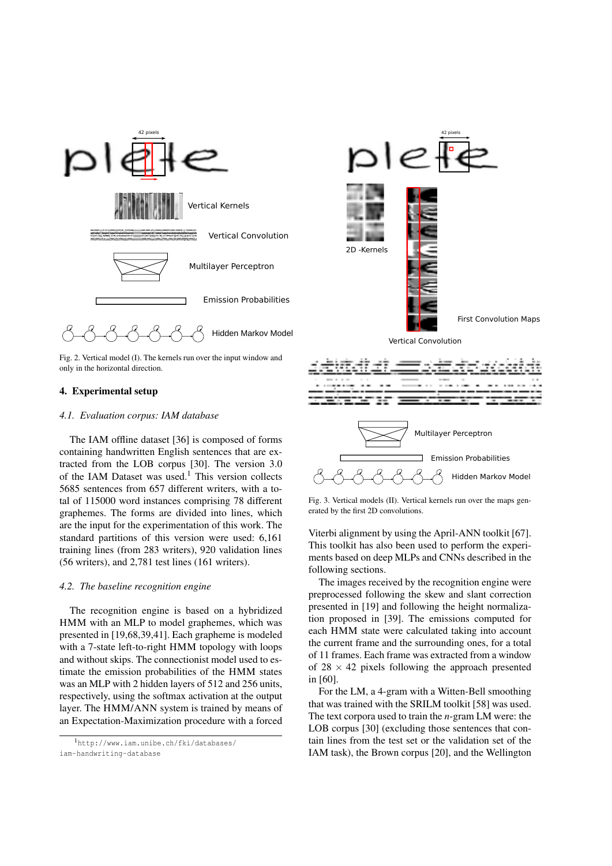

Fig. 2. Vertical model (I). The kernels run over the input window and only in the horizontal direction.

#### 4. Experimental setup

#### *4.1. Evaluation corpus: IAM database*

The IAM offline dataset [36] is composed of forms containing handwritten English sentences that are extracted from the LOB corpus [30]. The version 3.0 of the IAM Dataset was used.<sup>1</sup> This version collects 5685 sentences from 657 different writers, with a total of 115000 word instances comprising 78 different graphemes. The forms are divided into lines, which are the input for the experimentation of this work. The standard partitions of this version were used: 6,161 training lines (from 283 writers), 920 validation lines (56 writers), and 2,781 test lines (161 writers).

#### *4.2. The baseline recognition engine*

The recognition engine is based on a hybridized HMM with an MLP to model graphemes, which was presented in [19,68,39,41]. Each grapheme is modeled with a 7-state left-to-right HMM topology with loops and without skips. The connectionist model used to estimate the emission probabilities of the HMM states was an MLP with 2 hidden layers of 512 and 256 units, respectively, using the softmax activation at the output layer. The HMM/ANN system is trained by means of an Expectation-Maximization procedure with a forced



Fig. 3. Vertical models (II). Vertical kernels run over the maps generated by the first 2D convolutions.

Viterbi alignment by using the April-ANN toolkit [67]. This toolkit has also been used to perform the experiments based on deep MLPs and CNNs described in the following sections.

The images received by the recognition engine were preprocessed following the skew and slant correction presented in [19] and following the height normalization proposed in [39]. The emissions computed for each HMM state were calculated taking into account the current frame and the surrounding ones, for a total of 11 frames. Each frame was extracted from a window of  $28 \times 42$  pixels following the approach presented in [60].

For the LM, a 4-gram with a Witten-Bell smoothing that was trained with the SRILM toolkit [58] was used. The text corpora used to train the *n*-gram LM were: the LOB corpus [30] (excluding those sentences that contain lines from the test set or the validation set of the IAM task), the Brown corpus [20], and the Wellington

<sup>1</sup>http://www.iam.unibe.ch/fki/databases/ iam-handwriting-database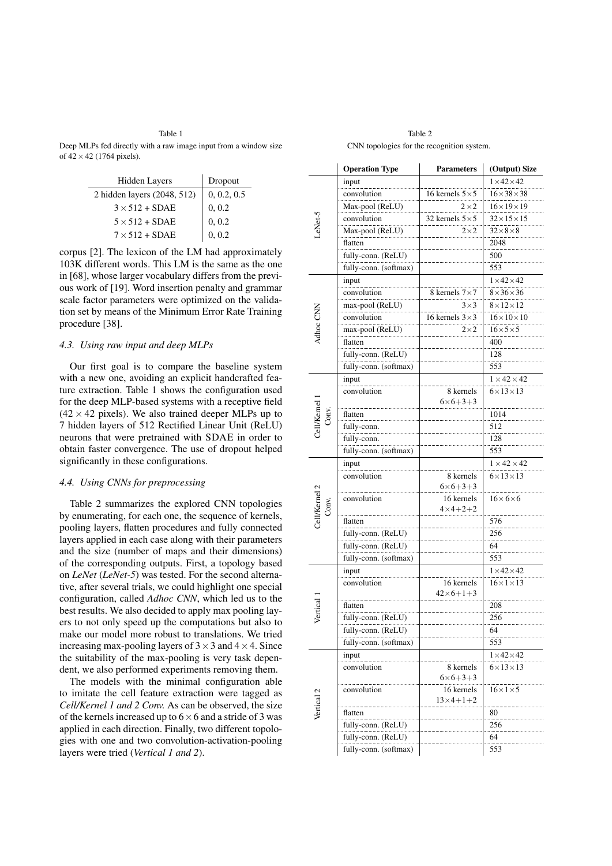Table 1 Deep MLPs fed directly with a raw image input from a window size of  $42 \times 42$  (1764 pixels).

| <b>Hidden Layers</b>        | Dropout     |
|-----------------------------|-------------|
| 2 hidden layers (2048, 512) | 0, 0.2, 0.5 |
| $3 \times 512 + SDAE$       | 0, 0.2      |
| $5 \times 512 + SDAE$       | 0, 0.2      |
| $7 \times 512 + SDAE$       | 0, 0.2      |

corpus [2]. The lexicon of the LM had approximately 103K different words. This LM is the same as the one in [68], whose larger vocabulary differs from the previous work of [19]. Word insertion penalty and grammar scale factor parameters were optimized on the validation set by means of the Minimum Error Rate Training procedure [38].

#### *4.3. Using raw input and deep MLPs*

Our first goal is to compare the baseline system with a new one, avoiding an explicit handcrafted feature extraction. Table 1 shows the configuration used for the deep MLP-based systems with a receptive field  $(42 \times 42 \text{ pixels})$ . We also trained deeper MLPs up to 7 hidden layers of 512 Rectified Linear Unit (ReLU) neurons that were pretrained with SDAE in order to obtain faster convergence. The use of dropout helped significantly in these configurations.

#### *4.4. Using CNNs for preprocessing*

Table 2 summarizes the explored CNN topologies by enumerating, for each one, the sequence of kernels, pooling layers, flatten procedures and fully connected layers applied in each case along with their parameters and the size (number of maps and their dimensions) of the corresponding outputs. First, a topology based on *LeNet* (*LeNet-5*) was tested. For the second alternative, after several trials, we could highlight one special configuration, called *Adhoc CNN*, which led us to the best results. We also decided to apply max pooling layers to not only speed up the computations but also to make our model more robust to translations. We tried increasing max-pooling layers of  $3 \times 3$  and  $4 \times 4$ . Since the suitability of the max-pooling is very task dependent, we also performed experiments removing them.

The models with the minimal configuration able to imitate the cell feature extraction were tagged as *Cell/Kernel 1 and 2 Conv.* As can be observed, the size of the kernels increased up to  $6 \times 6$  and a stride of 3 was applied in each direction. Finally, two different topologies with one and two convolution-activation-pooling layers were tried (*Vertical 1 and 2*).

Table 2 CNN topologies for the recognition system.

|                        | <b>Operation Type</b> | <b>Parameters</b>                   | (Output) Size           |
|------------------------|-----------------------|-------------------------------------|-------------------------|
| LeNet-5                | input                 |                                     | $1 \times 42 \times 42$ |
|                        | convolution           | 16 kernels $5\times5$               | $16\times38\times38$    |
|                        | Max-pool (ReLU)       | $2\times2$                          | $16\times19\times19$    |
|                        | convolution           | 32 kernels $5\times5$               | $32\times15\times15$    |
|                        | Max-pool (ReLU)       | $2\times2$                          | $32\times8\times8$      |
|                        | flatten               |                                     | 2048                    |
|                        | fully-conn. (ReLU)    |                                     | 500                     |
|                        | fully-conn. (softmax) |                                     | 553                     |
|                        | input                 |                                     | $1 \times 42 \times 42$ |
|                        | convolution           | 8 kernels $7 \times 7$              | $8\times36\times36$     |
|                        | max-pool (ReLU)       | $3\times3$                          | $8\times12\times12$     |
| Adhoc CNN              | convolution           | 16 kernels $3\times3$               | $16\times10\times10$    |
|                        | max-pool (ReLU)       | $2\times 2$                         | $16\times5\times5$      |
|                        | flatten               |                                     | 400                     |
|                        | fully-conn. (ReLU)    |                                     | 128                     |
|                        | fully-conn. (softmax) |                                     | 553                     |
|                        | input                 |                                     | $1 \times 42 \times 42$ |
|                        | convolution           | 8 kernels                           | $6\times13\times13$     |
|                        |                       | $6 \times 6 + 3 + 3$                |                         |
| Cell/Kernel 1<br>Conv. | flatten               |                                     | 1014                    |
|                        | fully-conn.           |                                     | 512                     |
|                        | fully-conn.           |                                     | 128                     |
|                        | fully-conn. (softmax) |                                     | 553                     |
|                        | input                 |                                     | $1 \times 42 \times 42$ |
|                        | convolution           | 8 kernels<br>$6 \times 6 + 3 + 3$   | $6 \times 13 \times 13$ |
| Cell/Kernel 2<br>Conv. | convolution           | 16 kernels<br>$4 \times 4 + 2 + 2$  | $16 \times 6 \times 6$  |
|                        | flatten               |                                     | 576                     |
|                        | fully-conn. (ReLU)    |                                     | 256                     |
|                        | fully-conn. (ReLU)    |                                     | 64                      |
|                        | fully-conn. (softmax) |                                     | 553                     |
|                        | input                 |                                     | $1\times42\times42$     |
| Vertical               | convolution           | 16 kernels<br>$42\times 6 + 1 + 3$  | $16 \times 1 \times 13$ |
|                        | flatten               |                                     | 208                     |
|                        | fully-conn. (ReLU)    |                                     | 256                     |
|                        | fully-conn. (ReLU)    |                                     | 64                      |
|                        | fully-conn. (softmax) |                                     | 553                     |
| Vertical 2             | input                 |                                     | $1\times42\times42$     |
|                        | convolution           | 8 kernels<br>$6 \times 6 + 3 + 3$   | $6\times13\times13$     |
|                        | convolution           | 16 kernels<br>$13 \times 4 + 1 + 2$ | $16 \times 1 \times 5$  |
|                        | flatten               |                                     | 80                      |
|                        | fully-conn. (ReLU)    |                                     | 256                     |
|                        | fully-conn. (ReLU)    |                                     | 64                      |
|                        | fully-conn. (softmax) |                                     | 553                     |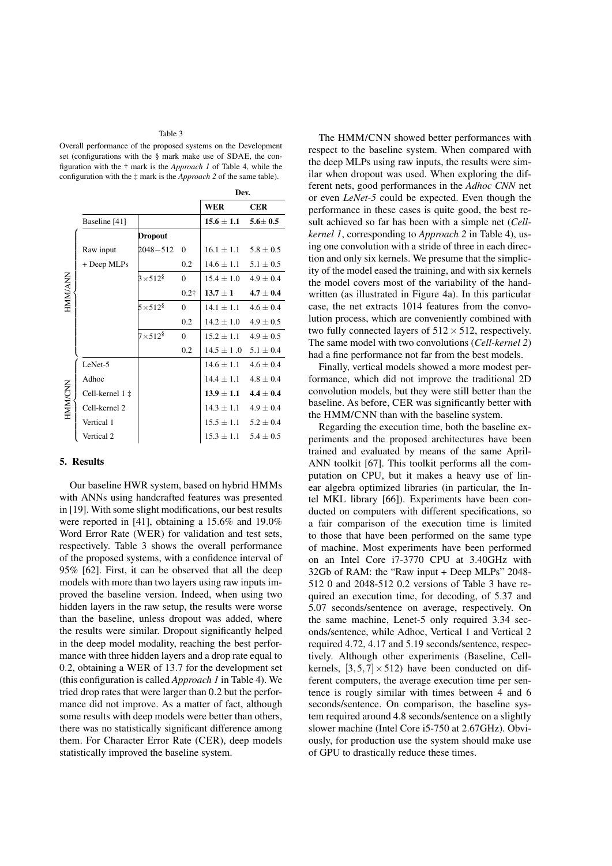#### Table 3

Overall performance of the proposed systems on the Development set (configurations with the § mark make use of SDAE, the configuration with the † mark is the *Approach 1* of Table 4, while the configuration with the ‡ mark is the *Approach 2* of the same table).

|                |                 |                            |              | Dev.           |               |  |  |
|----------------|-----------------|----------------------------|--------------|----------------|---------------|--|--|
|                |                 |                            |              | <b>WER</b>     | <b>CER</b>    |  |  |
|                | Baseline [41]   |                            |              | $15.6 \pm 1.1$ | $5.6 \pm 0.5$ |  |  |
|                |                 | <b>Dropout</b>             |              |                |               |  |  |
| <b>HMM/ANN</b> | Raw input       | 2048-512                   | $\Omega$     | $16.1 \pm 1.1$ | $5.8 + 0.5$   |  |  |
|                | + Deep MLPs     |                            | 0.2          | $14.6 + 1.1$   | $5.1 \pm 0.5$ |  |  |
|                |                 | $3\times512^8$             | $\theta$     | $15.4 + 1.0$   | $4.9 + 0.4$   |  |  |
|                |                 |                            | $0.2\dagger$ | $13.7 \pm 1$   | $4.7 + 0.4$   |  |  |
|                |                 | $5\times512^{\frac{8}{5}}$ | $\Omega$     | $14.1 + 1.1$   | $4.6 + 0.4$   |  |  |
|                |                 |                            | 0.2          | $14.2 + 1.0$   | $4.9 \pm 0.5$ |  |  |
|                |                 | $7\times512^8$             | $\Omega$     | $15.2 + 1.1$   | $4.9 \pm 0.5$ |  |  |
|                |                 |                            | 0.2          | $14.5 \pm 1.0$ | $5.1 \pm 0.4$ |  |  |
| <b>HMM/CNN</b> | LeNet-5         |                            |              | $14.6 + 1.1$   | $4.6 \pm 0.4$ |  |  |
|                | Adhoc           |                            |              | $14.4 + 1.1$   | $4.8 + 0.4$   |  |  |
|                | Cell-kernel 1 ‡ |                            |              | $13.9 \pm 1.1$ | $4.4 + 0.4$   |  |  |
|                | Cell-kernel 2   |                            |              | $14.3 \pm 1.1$ | $4.9 \pm 0.4$ |  |  |
|                | Vertical 1      |                            |              | $15.5 \pm 1.1$ | $5.2 \pm 0.4$ |  |  |
|                | Vertical 2      |                            |              | $15.3 \pm 1.1$ | $5.4 \pm 0.5$ |  |  |

## 5. Results

Our baseline HWR system, based on hybrid HMMs with ANNs using handcrafted features was presented in [19]. With some slight modifications, our best results were reported in [41], obtaining a 15.6% and 19.0% Word Error Rate (WER) for validation and test sets, respectively. Table 3 shows the overall performance of the proposed systems, with a confidence interval of 95% [62]. First, it can be observed that all the deep models with more than two layers using raw inputs improved the baseline version. Indeed, when using two hidden layers in the raw setup, the results were worse than the baseline, unless dropout was added, where the results were similar. Dropout significantly helped in the deep model modality, reaching the best performance with three hidden layers and a drop rate equal to 0.2, obtaining a WER of 13.7 for the development set (this configuration is called *Approach 1* in Table 4). We tried drop rates that were larger than 0.2 but the performance did not improve. As a matter of fact, although some results with deep models were better than others, there was no statistically significant difference among them. For Character Error Rate (CER), deep models statistically improved the baseline system.

The HMM/CNN showed better performances with respect to the baseline system. When compared with the deep MLPs using raw inputs, the results were similar when dropout was used. When exploring the different nets, good performances in the *Adhoc CNN* net or even *LeNet-5* could be expected. Even though the performance in these cases is quite good, the best result achieved so far has been with a simple net (*Cellkernel 1*, corresponding to *Approach 2* in Table 4), using one convolution with a stride of three in each direction and only six kernels. We presume that the simplicity of the model eased the training, and with six kernels the model covers most of the variability of the handwritten (as illustrated in Figure 4a). In this particular case, the net extracts 1014 features from the convolution process, which are conveniently combined with two fully connected layers of  $512 \times 512$ , respectively. The same model with two convolutions (*Cell-kernel 2*) had a fine performance not far from the best models.

Finally, vertical models showed a more modest performance, which did not improve the traditional 2D convolution models, but they were still better than the baseline. As before, CER was significantly better with the HMM/CNN than with the baseline system.

Regarding the execution time, both the baseline experiments and the proposed architectures have been trained and evaluated by means of the same April-ANN toolkit [67]. This toolkit performs all the computation on CPU, but it makes a heavy use of linear algebra optimized libraries (in particular, the Intel MKL library [66]). Experiments have been conducted on computers with different specifications, so a fair comparison of the execution time is limited to those that have been performed on the same type of machine. Most experiments have been performed on an Intel Core i7-3770 CPU at 3.40GHz with 32Gb of RAM: the "Raw input + Deep MLPs" 2048- 512 0 and 2048-512 0.2 versions of Table 3 have required an execution time, for decoding, of 5.37 and 5.07 seconds/sentence on average, respectively. On the same machine, Lenet-5 only required 3.34 seconds/sentence, while Adhoc, Vertical 1 and Vertical 2 required 4.72, 4.17 and 5.19 seconds/sentence, respectively. Although other experiments (Baseline, Cellkernels,  $[3,5,7] \times 512$ ) have been conducted on different computers, the average execution time per sentence is rougly similar with times between 4 and 6 seconds/sentence. On comparison, the baseline system required around 4.8 seconds/sentence on a slightly slower machine (Intel Core i5-750 at 2.67GHz). Obviously, for production use the system should make use of GPU to drastically reduce these times.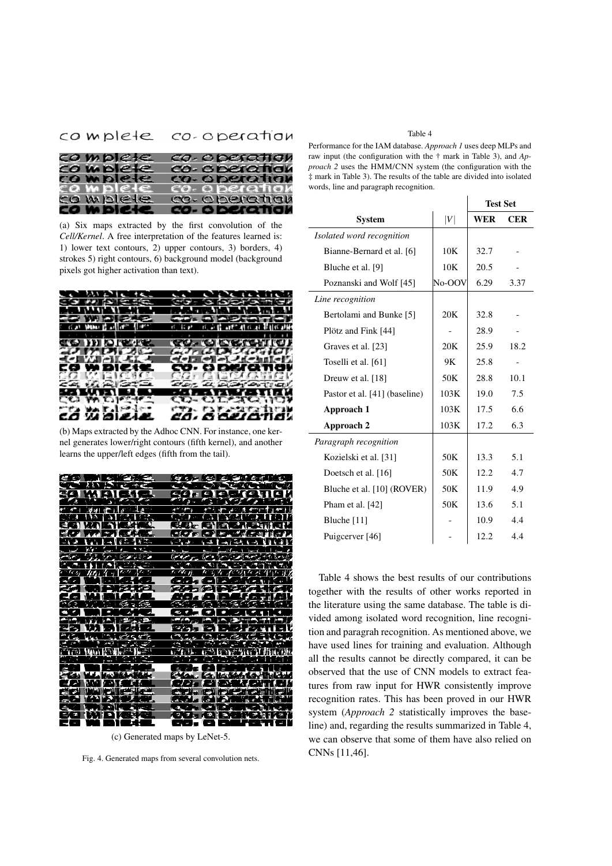# complete co-operation

| complete   |  |  | co-operation   |  |  |
|------------|--|--|----------------|--|--|
| co mplete  |  |  | co- o peration |  |  |
| co mplete  |  |  | co-operation   |  |  |
| co mplete  |  |  | co- o peration |  |  |
| ca w plete |  |  | co-operation   |  |  |
| co w plete |  |  | co- o beration |  |  |

(a) Six maps extracted by the first convolution of the *Cell/Kernel*. A free interpretation of the features learned is: 1) lower text contours, 2) upper contours, 3) borders, 4) strokes 5) right contours, 6) background model (background pixels got higher activation than text).



(b) Maps extracted by the Adhoc CNN. For instance, one kernel generates lower/right contours (fifth kernel), and another learns the upper/left edges (fifth from the tail).



(c) Generated maps by LeNet-5.

Fig. 4. Generated maps from several convolution nets.

#### Table 4

Performance for the IAM database. *Approach 1* uses deep MLPs and raw input (the configuration with the † mark in Table 3), and *Approach 2* uses the HMM/CNN system (the configuration with the ‡ mark in Table 3). The results of the table are divided into isolated words, line and paragraph recognition.

|                               |        | <b>Test Set</b> |            |  |
|-------------------------------|--------|-----------------|------------|--|
| <b>System</b>                 | V      | <b>WER</b>      | <b>CER</b> |  |
| Isolated word recognition     |        |                 |            |  |
| Bianne-Bernard et al. [6]     | 10K    | 32.7            |            |  |
| Bluche et al. [9]             | 10K    | 20.5            |            |  |
| Poznanski and Wolf [45]       | No-OOV | 6.29            | 3.37       |  |
| Line recognition              |        |                 |            |  |
| Bertolami and Bunke [5]       | 20K    | 32.8            |            |  |
| Plötz and Fink [44]           |        | 28.9            |            |  |
| Graves et al. [23]            | 20K    | 25.9            | 18.2       |  |
| Toselli et al. [61]           | 9Κ     | 25.8            |            |  |
| Dreuw et al. [18]             | 50K    | 28.8            | 10.1       |  |
| Pastor et al. [41] (baseline) | 103K   | 19.0            | 7.5        |  |
| Approach 1                    | 103K   | 17.5            | 6.6        |  |
| Approach 2                    | 103K   | 17.2            | 6.3        |  |
| Paragraph recognition         |        |                 |            |  |
| Kozielski et al. [31]         | 50K    | 13.3            | 5.1        |  |
| Doetsch et al. [16]           | 50K    | 12.2            | 4.7        |  |
| Bluche et al. [10] (ROVER)    | 50K    | 11.9            | 4.9        |  |
| Pham et al. [42]              | 50K    | 13.6            | 5.1        |  |
| Bluche $[11]$                 |        | 10.9            | 4.4        |  |
| Puigcerver [46]               |        | 12.2            | 4.4        |  |
|                               |        |                 |            |  |

Table 4 shows the best results of our contributions together with the results of other works reported in the literature using the same database. The table is divided among isolated word recognition, line recognition and paragrah recognition. As mentioned above, we have used lines for training and evaluation. Although all the results cannot be directly compared, it can be observed that the use of CNN models to extract features from raw input for HWR consistently improve recognition rates. This has been proved in our HWR system (*Approach 2* statistically improves the baseline) and, regarding the results summarized in Table 4, we can observe that some of them have also relied on CNNs [11,46].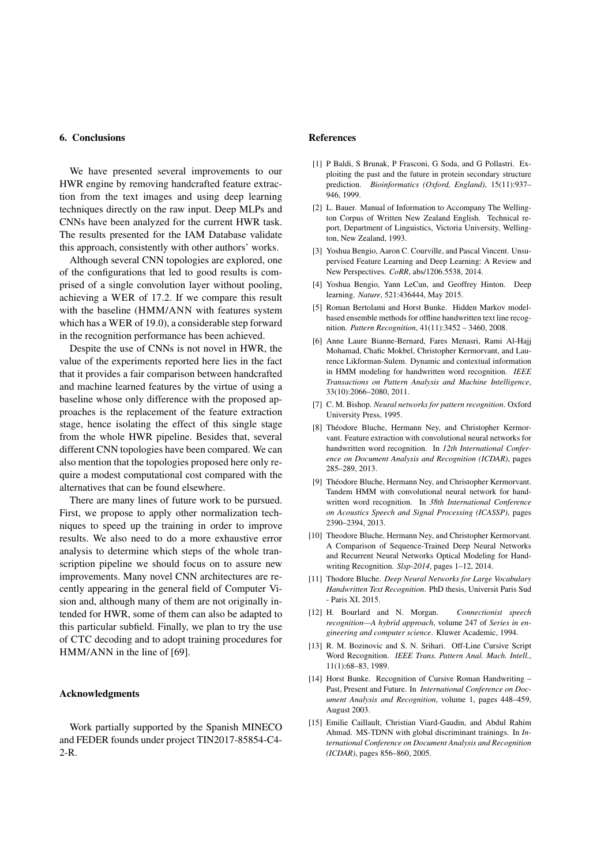#### 6. Conclusions

We have presented several improvements to our HWR engine by removing handcrafted feature extraction from the text images and using deep learning techniques directly on the raw input. Deep MLPs and CNNs have been analyzed for the current HWR task. The results presented for the IAM Database validate this approach, consistently with other authors' works.

Although several CNN topologies are explored, one of the configurations that led to good results is comprised of a single convolution layer without pooling, achieving a WER of 17.2. If we compare this result with the baseline (HMM/ANN with features system which has a WER of 19.0), a considerable step forward in the recognition performance has been achieved.

Despite the use of CNNs is not novel in HWR, the value of the experiments reported here lies in the fact that it provides a fair comparison between handcrafted and machine learned features by the virtue of using a baseline whose only difference with the proposed approaches is the replacement of the feature extraction stage, hence isolating the effect of this single stage from the whole HWR pipeline. Besides that, several different CNN topologies have been compared. We can also mention that the topologies proposed here only require a modest computational cost compared with the alternatives that can be found elsewhere.

There are many lines of future work to be pursued. First, we propose to apply other normalization techniques to speed up the training in order to improve results. We also need to do a more exhaustive error analysis to determine which steps of the whole transcription pipeline we should focus on to assure new improvements. Many novel CNN architectures are recently appearing in the general field of Computer Vision and, although many of them are not originally intended for HWR, some of them can also be adapted to this particular subfield. Finally, we plan to try the use of CTC decoding and to adopt training procedures for HMM/ANN in the line of [69].

## Acknowledgments

Work partially supported by the Spanish MINECO and FEDER founds under project TIN2017-85854-C4- 2-R.

#### References

- [1] P Baldi, S Brunak, P Frasconi, G Soda, and G Pollastri. Exploiting the past and the future in protein secondary structure prediction. *Bioinformatics (Oxford, England)*, 15(11):937– 946, 1999.
- [2] L. Bauer. Manual of Information to Accompany The Wellington Corpus of Written New Zealand English. Technical report, Department of Linguistics, Victoria University, Wellington, New Zealand, 1993.
- [3] Yoshua Bengio, Aaron C. Courville, and Pascal Vincent. Unsupervised Feature Learning and Deep Learning: A Review and New Perspectives. *CoRR*, abs/1206.5538, 2014.
- [4] Yoshua Bengio, Yann LeCun, and Geoffrey Hinton. Deep learning. *Nature*, 521:436444, May 2015.
- [5] Roman Bertolami and Horst Bunke. Hidden Markov modelbased ensemble methods for offline handwritten text line recognition. *Pattern Recognition*, 41(11):3452 – 3460, 2008.
- [6] Anne Laure Bianne-Bernard, Fares Menasri, Rami Al-Hajj Mohamad, Chafic Mokbel, Christopher Kermorvant, and Laurence Likforman-Sulem. Dynamic and contextual information in HMM modeling for handwritten word recognition. *IEEE Transactions on Pattern Analysis and Machine Intelligence*, 33(10):2066–2080, 2011.
- [7] C. M. Bishop. *Neural networks for pattern recognition*. Oxford University Press, 1995.
- [8] Théodore Bluche, Hermann Nev, and Christopher Kermorvant. Feature extraction with convolutional neural networks for handwritten word recognition. In *12th International Conference on Document Analysis and Recognition (ICDAR)*, pages 285–289, 2013.
- [9] Théodore Bluche, Hermann Ney, and Christopher Kermorvant. Tandem HMM with convolutional neural network for handwritten word recognition. In *38th International Conference on Acoustics Speech and Signal Processing (ICASSP)*, pages 2390–2394, 2013.
- [10] Theodore Bluche, Hermann Ney, and Christopher Kermorvant. A Comparison of Sequence-Trained Deep Neural Networks and Recurrent Neural Networks Optical Modeling for Handwriting Recognition. *Slsp-2014*, pages 1–12, 2014.
- [11] Thodore Bluche. *Deep Neural Networks for Large Vocabulary Handwritten Text Recognition*. PhD thesis, Universit Paris Sud - Paris XI, 2015.
- [12] H. Bourlard and N. Morgan. *Connectionist speech recognition—A hybrid approach*, volume 247 of *Series in engineering and computer science*. Kluwer Academic, 1994.
- [13] R. M. Bozinovic and S. N. Srihari. Off-Line Cursive Script Word Recognition. *IEEE Trans. Pattern Anal. Mach. Intell.*, 11(1):68–83, 1989.
- [14] Horst Bunke. Recognition of Cursive Roman Handwriting Past, Present and Future. In *International Conference on Document Analysis and Recognition*, volume 1, pages 448–459, August 2003.
- [15] Emilie Caillault, Christian Viard-Gaudin, and Abdul Rahim Ahmad. MS-TDNN with global discriminant trainings. In *International Conference on Document Analysis and Recognition (ICDAR)*, pages 856–860, 2005.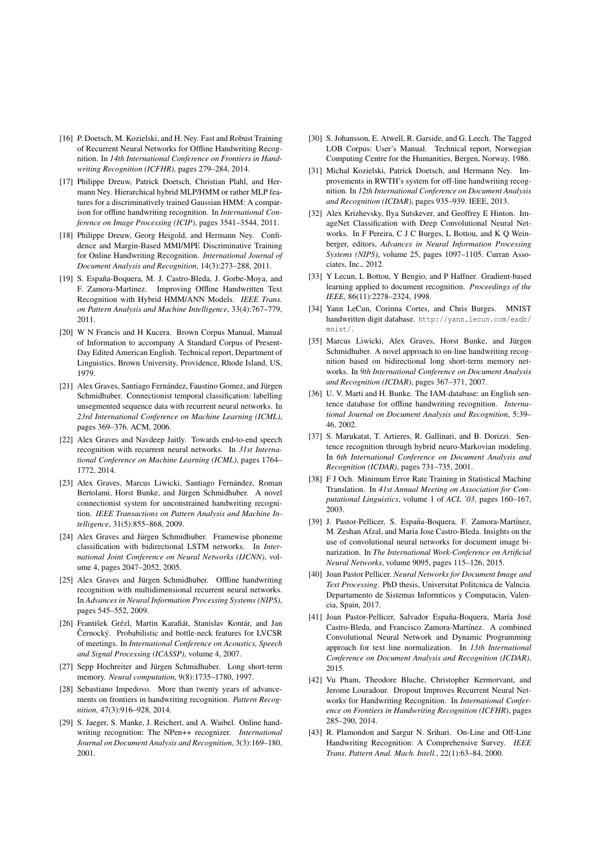- [16] P. Doetsch, M. Kozielski, and H. Ney. Fast and Robust Training of Recurrent Neural Networks for Offline Handwriting Recognition. In *14th International Conference on Frontiers in Handwriting Recognition (ICFHR)*, pages 279–284, 2014.
- [17] Philippe Dreuw, Patrick Doetsch, Christian Plahl, and Hermann Ney. Hierarchical hybrid MLP/HMM or rather MLP features for a discriminatively trained Gaussian HMM: A comparison for offline handwriting recognition. In *International Conference on Image Processing (ICIP)*, pages 3541–3544, 2011.
- [18] Philippe Dreuw, Georg Heigold, and Hermann Ney. Confidence and Margin-Based MMI/MPE Discriminative Training for Online Handwriting Recognition. *International Journal of Document Analysis and Recognition*, 14(3):273–288, 2011.
- [19] S. España-Boquera, M. J. Castro-Bleda, J. Gorbe-Moya, and F. Zamora-Martinez. Improving Offline Handwritten Text Recognition with Hybrid HMM/ANN Models. *IEEE Trans. on Pattern Analysis and Machine Intelligence*, 33(4):767–779, 2011.
- [20] W N Francis and H Kucera. Brown Corpus Manual, Manual of Information to accompany A Standard Corpus of Present-Day Edited American English. Technical report, Department of Linguistics, Brown University, Providence, Rhode Island, US, 1979.
- [21] Alex Graves, Santiago Fernández, Faustino Gomez, and Jürgen Schmidhuber. Connectionist temporal classification: labelling unsegmented sequence data with recurrent neural networks. In *23rd International Conference on Machine Learning (ICML)*, pages 369–376. ACM, 2006.
- [22] Alex Graves and Navdeep Jaitly. Towards end-to-end speech recognition with recurrent neural networks. In *31st International Conference on Machine Learning (ICML)*, pages 1764– 1772, 2014.
- [23] Alex Graves, Marcus Liwicki, Santiago Fernández, Roman Bertolami, Horst Bunke, and Jürgen Schmidhuber. A novel connectionist system for unconstrained handwriting recognition. *IEEE Transactions on Pattern Analysis and Machine Intelligence*, 31(5):855–868, 2009.
- [24] Alex Graves and Jürgen Schmidhuber. Framewise phoneme classification with bidirectional LSTM networks. In *International Joint Conference on Neural Networks (IJCNN)*, volume 4, pages 2047–2052, 2005.
- [25] Alex Graves and Jürgen Schmidhuber. Offline handwriting recognition with multidimensional recurrent neural networks. In *Advances in Neural Information Processing Systems (NIPS)*, pages 545–552, 2009.
- [26] František Grézl, Martin Karafiát, Stanislav Kontár, and Jan Černocký. Probabilistic and bottle-neck features for LVCSR of meetings. In *International Conference on Acoustics, Speech and Signal Processing (ICASSP)*, volume 4, 2007.
- [27] Sepp Hochreiter and Jürgen Schmidhuber. Long short-term memory. *Neural computation*, 9(8):1735–1780, 1997.
- [28] Sebastiano Impedovo. More than twenty years of advancements on frontiers in handwriting recognition. *Pattern Recognition*, 47(3):916–928, 2014.
- [29] S. Jaeger, S. Manke, J. Reichert, and A. Waibel. Online handwriting recognition: The NPen++ recognizer. *International Journal on Document Analysis and Recognition*, 3(3):169–180, 2001.
- [30] S. Johansson, E. Atwell, R. Garside, and G. Leech. The Tagged LOB Corpus: User's Manual. Technical report, Norwegian Computing Centre for the Humanities, Bergen, Norway, 1986.
- [31] Michal Kozielski, Patrick Doetsch, and Hermann Ney. Improvements in RWTH's system for off-line handwriting recognition. In *12th International Conference on Document Analysis and Recognition (ICDAR)*, pages 935–939. IEEE, 2013.
- [32] Alex Krizhevsky, Ilya Sutskever, and Geoffrey E Hinton. ImageNet Classification with Deep Convolutional Neural Networks. In F Pereira, C J C Burges, L Bottou, and K Q Weinberger, editors, *Advances in Neural Information Processing Systems (NIPS)*, volume 25, pages 1097–1105. Curran Associates, Inc., 2012.
- [33] Y Lecun, L Bottou, Y Bengio, and P Haffner. Gradient-based learning applied to document recognition. *Proceedings of the IEEE*, 86(11):2278–2324, 1998.
- [34] Yann LeCun, Corinna Cortes, and Chris Burges. MNIST handwritten digit database. http://yann.lecun.com/exdb/ mnist/.
- [35] Marcus Liwicki, Alex Graves, Horst Bunke, and Jürgen Schmidhuber. A novel approach to on-line handwriting recognition based on bidirectional long short-term memory networks. In *9th International Conference on Document Analysis and Recognition (ICDAR)*, pages 367–371, 2007.
- [36] U. V. Marti and H. Bunke. The IAM-database: an English sentence database for offline handwriting recognition. *International Journal on Document Analysis and Recognition*, 5:39– 46, 2002.
- [37] S. Marukatat, T. Artieres, R. Gallinari, and B. Dorizzi. Sentence recognition through hybrid neuro-Markovian modeling. In *6th International Conference on Document Analysis and Recognition (ICDAR)*, pages 731–735, 2001.
- [38] F J Och. Minimum Error Rate Training in Statistical Machine Translation. In *41st Annual Meeting on Association for Computational Linguistics*, volume 1 of *ACL '03*, pages 160–167, 2003.
- [39] J. Pastor-Pellicer, S. España-Boquera, F. Zamora-Martínez, M. Zeshan Afzal, and Maria Jose Castro-Bleda. Insights on the use of convolutional neural networks for document image binarization. In *The International Work-Conference on Artificial Neural Networks*, volume 9095, pages 115–126, 2015.
- [40] Joan Pastor Pellicer. *Neural Networks for Document Image and Text Processing*. PhD thesis, Universitat Politcnica de Valncia. Departamento de Sistemas Informticos y Computacin, Valencia, Spain, 2017.
- [41] Joan Pastor-Pellicer, Salvador España-Boquera, María José Castro-Bleda, and Francisco Zamora-Martínez. A combined Convolutional Neural Network and Dynamic Programming approach for text line normalization. In *13th International Conference on Document Analysis and Recognition (ICDAR)*, 2015.
- [42] Vu Pham, Theodore Bluche, Christopher Kermorvant, and Jerome Louradour. Dropout Improves Recurrent Neural Networks for Handwriting Recognition. In *International Conference on Frontiers in Handwriting Recognition (ICFHR)*, pages 285–290, 2014.
- [43] R. Plamondon and Sargur N. Srihari. On-Line and Off-Line Handwriting Recognition: A Comprehensive Survey. *IEEE Trans. Pattern Anal. Mach. Intell.*, 22(1):63–84, 2000.